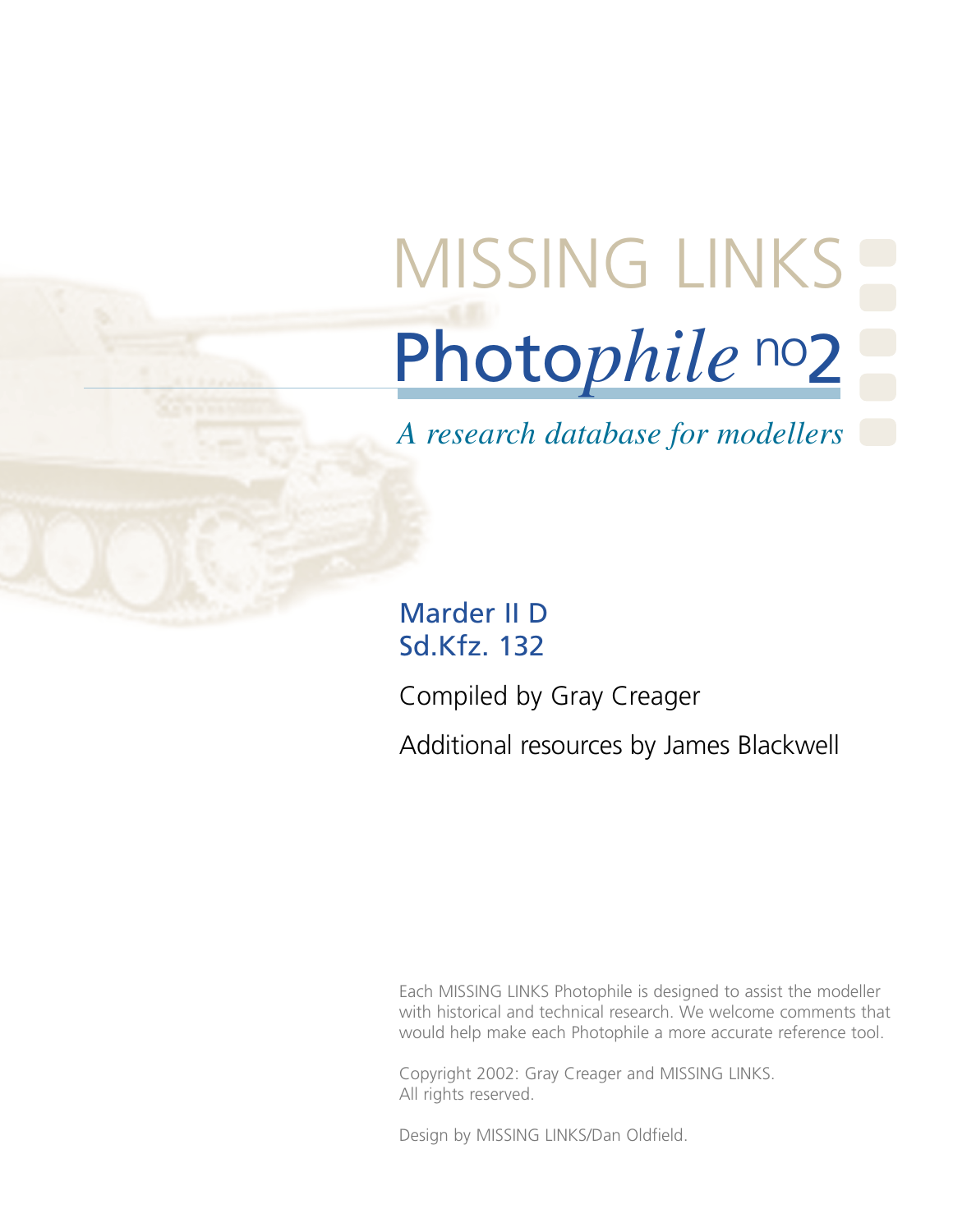# Photo*phile* no2 [MISSING LINKS](http://www.missing-lynx.com/)

*A research database for modellers*

Marder II D Sd.Kfz. 132

Compiled by Gray Creager

Additional resources by James Blackwell

Each MISSING LINKS Photophile is designed to assist the modeller with historical and technical research. We welcome comments that would help make each Photophile a more accurate reference tool.

Copyright 2002: Gray Creager and MISSING LINKS. All rights reserved.

Design by MISSING LINKS/Dan Oldfield.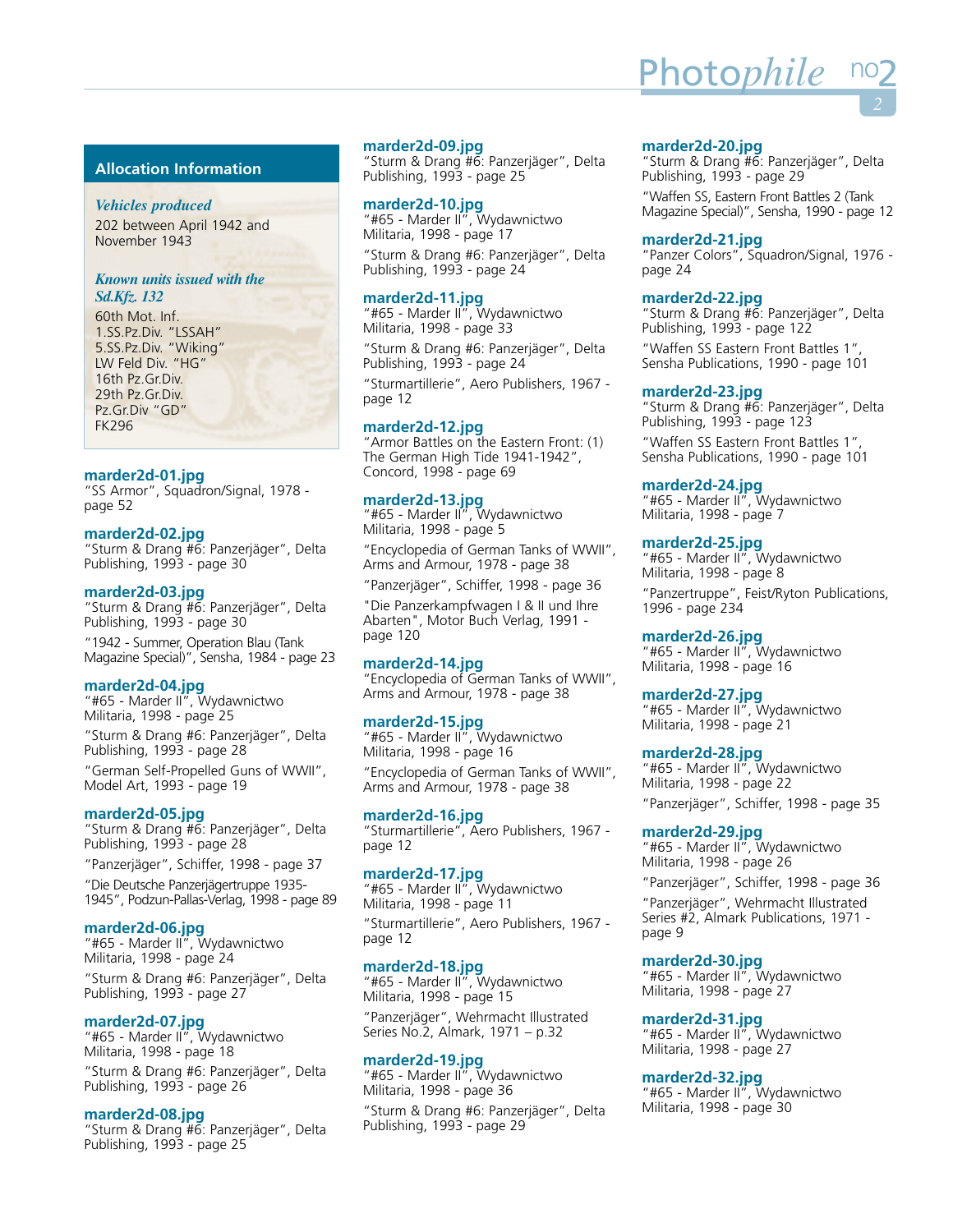# **Allocation Information**

# *Vehicles produced*

202 between April 1942 and November 1943

# *Known units issued with the Sd.Kfz. 132*

60th Mot. Inf. 1.SS.Pz.Div. "LSSAH" 5.SS.Pz.Div. "Wiking" LW Feld Div. "HG" 16th Pz.Gr.Div. 29th Pz.Gr.Div. Pz.Gr.Div "GD" FK296

# **marder2d-01.jpg**

"SS Armor", Squadron/Signal, 1978 page 52

# **marder2d-02.jpg**

"Sturm & Drang #6: Panzerjäger", Delta Publishing, 1993 - page 30

# **marder2d-03.jpg**

"Sturm & Drang #6: Panzerjäger", Delta Publishing, 1993 - page 30

"1942 - Summer, Operation Blau (Tank Magazine Special)", Sensha, 1984 - page 23

# **marder2d-04.jpg**

"#65 - Marder II", Wydawnictwo Militaria, 1998 - page 25 "Sturm & Drang #6: Panzerjäger", Delta

Publishing, 1993 - page 28 "German Self-Propelled Guns of WWII", Model Art, 1993 - page 19

# **marder2d-05.jpg**

"Sturm & Drang #6: Panzerjäger", Delta Publishing, 1993 - page 28

"Panzerjäger", Schiffer, 1998 - page 37 "Die Deutsche Panzerjägertruppe 1935- 1945", Podzun-Pallas-Verlag, 1998 - page 89

# **marder2d-06.jpg**

"#65 - Marder II", Wydawnictwo Militaria, 1998 - page 24

"Sturm & Drang #6: Panzerjäger", Delta Publishing, 1993 - page 27

# **marder2d-07.jpg**

"#65 - Marder II", Wydawnictwo Militaria, 1998 - page 18

"Sturm & Drang #6: Panzerjäger", Delta Publishing, 1993 - page 26

# **marder2d-08.jpg**

"Sturm & Drang #6: Panzerjäger", Delta Publishing, 1993 - page 25

#### **marder2d-09.jpg**

"Sturm & Drang #6: Panzerjäger", Delta Publishing, 1993 - page 25

#### **marder2d-10.jpg**

"#65 - Marder II", Wydawnictwo Militaria, 1998 - page 17

"Sturm & Drang #6: Panzerjäger", Delta Publishing, 1993 - page 24

# **marder2d-11.jpg**

"#65 - Marder II", Wydawnictwo Militaria, 1998 - page 33

"Sturm & Drang #6: Panzerjäger", Delta Publishing, 1993 - page 24

"Sturmartillerie", Aero Publishers, 1967 page 12

# **marder2d-12.jpg**

"Armor Battles on the Eastern Front: (1) The German High Tide 1941-1942", Concord, 1998 - page 69

# **marder2d-13.jpg**

"#65 - Marder II", Wydawnictwo Militaria, 1998 - page 5

"Encyclopedia of German Tanks of WWII", Arms and Armour, 1978 - page 38

"Panzerjäger", Schiffer, 1998 - page 36

"Die Panzerkampfwagen I & II und Ihre Abarten", Motor Buch Verlag, 1991 page 120

# **marder2d-14.jpg**

"Encyclopedia of German Tanks of WWII", Arms and Armour, 1978 - page 38

# **marder2d-15.jpg**

"#65 - Marder II", Wydawnictwo Militaria, 1998 - page 16 "Encyclopedia of German Tanks of WWII", Arms and Armour, 1978 - page 38

# **marder2d-16.jpg**

"Sturmartillerie", Aero Publishers, 1967 page 12

# **marder2d-17.jpg**

"#65 - Marder II", Wydawnictwo Militaria, 1998 - page 11 "Sturmartillerie", Aero Publishers, 1967 page 12

# **marder2d-18.jpg**

"#65 - Marder II", Wydawnictwo Militaria, 1998 - page 15 "Panzerjäger", Wehrmacht Illustrated Series No.2, Almark, 1971 – p.32

# **marder2d-19.jpg**

"#65 - Marder II", Wydawnictwo Militaria, 1998 - page 36 "Sturm & Drang #6: Panzerjäger", Delta Publishing, 1993 - page 29

#### **marder2d-20.jpg**

"Sturm & Drang #6: Panzerjäger", Delta Publishing, 1993 - page 29

<u>Photo*phile* </u>

"Waffen SS, Eastern Front Battles 2 (Tank Magazine Special)", Sensha, 1990 - page 12

#### **marder2d-21.jpg**

"Panzer Colors", Squadron/Signal, 1976 page 24

#### **marder2d-22.jpg**

"Sturm & Drang #6: Panzerjäger", Delta Publishing, 1993 - page 122

"Waffen SS Eastern Front Battles 1", Sensha Publications, 1990 - page 101

#### **marder2d-23.jpg**

"Sturm & Drang #6: Panzerjäger", Delta Publishing, 1993 - page 123 "Waffen SS Eastern Front Battles 1",

Sensha Publications, 1990 - page 101

#### **marder2d-24.jpg**

"#65 - Marder II", Wydawnictwo Militaria, 1998 - page 7

#### **marder2d-25.jpg**

"#65 - Marder II", Wydawnictwo Militaria, 1998 - page 8 "Panzertruppe", Feist/Ryton Publications, 1996 - page 234

### **marder2d-26.jpg**

"#65 - Marder II", Wydawnictwo Militaria, 1998 - page 16

#### **marder2d-27.jpg**

"#65 - Marder II", Wydawnictwo Militaria, 1998 - page 21

#### **marder2d-28.jpg**

"#65 - Marder II", Wydawnictwo Militaria, 1998 - page 22 "Panzerjäger", Schiffer, 1998 - page 35

#### **marder2d-29.jpg**

"#65 - Marder II", Wydawnictwo Militaria, 1998 - page 26

"Panzerjäger", Schiffer, 1998 - page 36 "Panzerjäger", Wehrmacht Illustrated Series #2, Almark Publications, 1971 -

page 9

# **marder2d-30.jpg**

"#65 - Marder II", Wydawnictwo Militaria, 1998 - page 27

#### **marder2d-31.jpg**

"#65 - Marder II", Wydawnictwo Militaria, 1998 - page 27

#### **marder2d-32.jpg**

"#65 - Marder II", Wydawnictwo Militaria, 1998 - page 30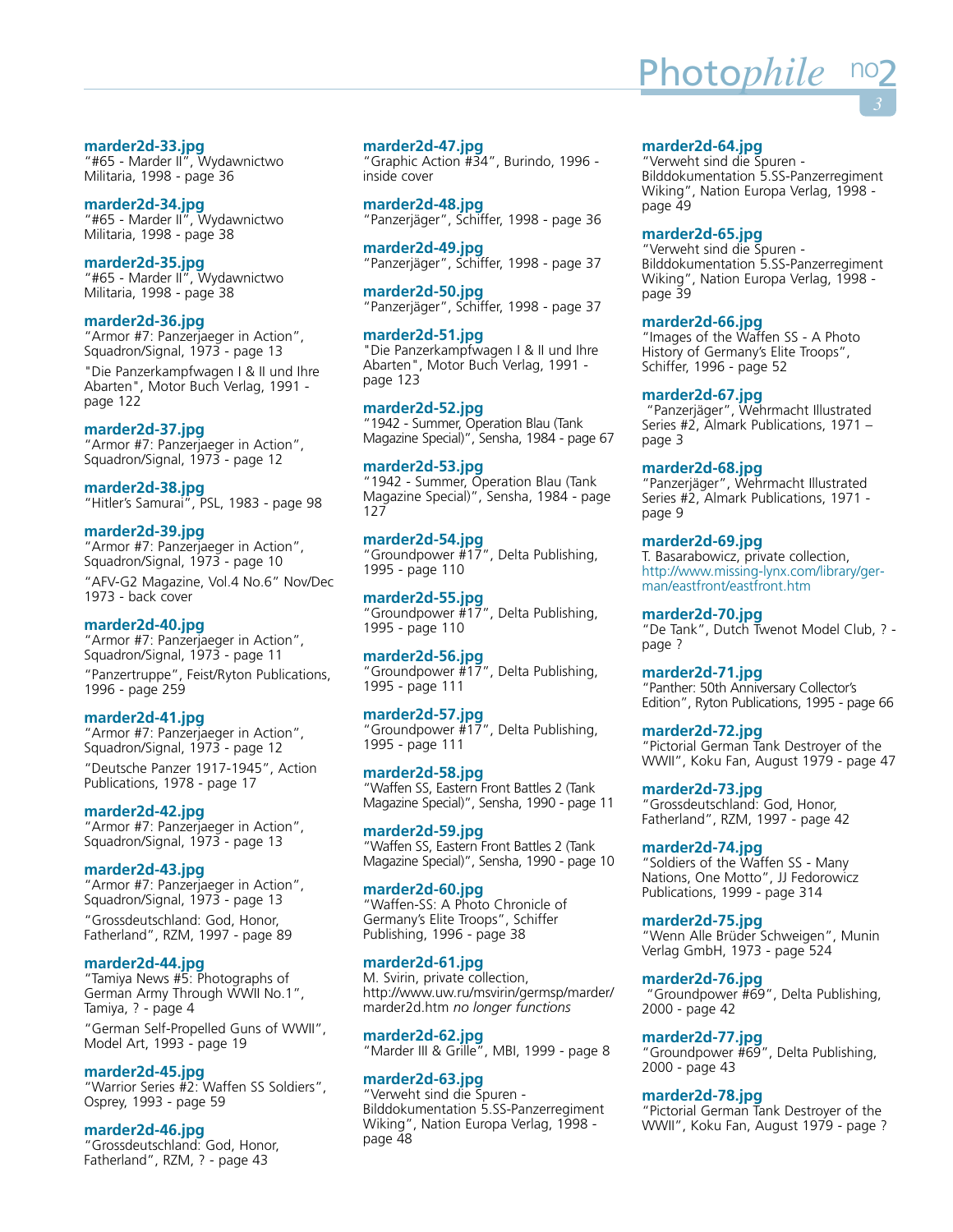# **marder2d-33.jpg**

"#65 - Marder II", Wydawnictwo Militaria, 1998 - page 36

# **marder2d-34.jpg**

"#65 - Marder II", Wydawnictwo Militaria, 1998 - page 38

# **marder2d-35.jpg**

"#65 - Marder II", Wydawnictwo Militaria, 1998 - page 38

# **marder2d-36.jpg**

"Armor #7: Panzerjaeger in Action", Squadron/Signal, 1973 - page 13

"Die Panzerkampfwagen I & II und Ihre Abarten", Motor Buch Verlag, 1991 page 122

# **marder2d-37.jpg**

"Armor #7: Panzerjaeger in Action", Squadron/Signal, 1973 - page 12

# **marder2d-38.jpg**

"Hitler's Samurai", PSL, 1983 - page 98

# **marder2d-39.jpg**

"Armor #7: Panzerjaeger in Action", Squadron/Signal, 1973 - page 10

"AFV-G2 Magazine, Vol.4 No.6" Nov/Dec 1973 - back cover

# **marder2d-40.jpg**

"Armor #7: Panzerjaeger in Action", Squadron/Signal, 1973 - page 11

"Panzertruppe", Feist/Ryton Publications, 1996 - page 259

# **marder2d-41.jpg**

"Armor #7: Panzerjaeger in Action", Squadron/Signal, 1973 - page 12 "Deutsche Panzer 1917-1945", Action Publications, 1978 - page 17

# **marder2d-42.jpg**

"Armor #7: Panzerjaeger in Action", Squadron/Signal, 1973 - page 13

# **marder2d-43.jpg**

"Armor #7: Panzerjaeger in Action", Squadron/Signal, 1973 - page 13 "Grossdeutschland: God, Honor, Fatherland", RZM, 1997 - page 89

# **marder2d-44.jpg**

"Tamiya News #5: Photographs of German Army Through WWII No.1", Tamiya, ? - page 4

"German Self-Propelled Guns of WWII", Model Art, 1993 - page 19

# **marder2d-45.jpg**

"Warrior Series #2: Waffen SS Soldiers", Osprey, 1993 - page 59

# **marder2d-46.jpg**

"Grossdeutschland: God, Honor, Fatherland", RZM, ? - page 43

# **marder2d-47.jpg**

"Graphic Action #34", Burindo, 1996 inside cover

**marder2d-48.jpg** "Panzerjäger", Schiffer, 1998 - page 36

**marder2d-49.jpg** "Panzerjäger", Schiffer, 1998 - page 37

**marder2d-50.jpg** "Panzerjäger", Schiffer, 1998 - page 37

**marder2d-51.jpg** "Die Panzerkampfwagen I & II und Ihre Abarten", Motor Buch Verlag, 1991 page 123

**marder2d-52.jpg** "1942 - Summer, Operation Blau (Tank Magazine Special)", Sensha, 1984 - page 67

#### **marder2d-53.jpg**

"1942 - Summer, Operation Blau (Tank Magazine Special)", Sensha, 1984 - page 127

**marder2d-54.jpg** "Groundpower #17", Delta Publishing, 1995 - page 110

**marder2d-55.jpg** "Groundpower #17", Delta Publishing, 1995 - page 110

# **marder2d-56.jpg**

"Groundpower #17", Delta Publishing, 1995 - page 111

#### **marder2d-57.jpg**

"Groundpower #17", Delta Publishing, 1995 - page 111

**marder2d-58.jpg** "Waffen SS, Eastern Front Battles 2 (Tank Magazine Special)", Sensha, 1990 - page 11

**marder2d-59.jpg** "Waffen SS, Eastern Front Battles 2 (Tank Magazine Special)", Sensha, 1990 - page 10

#### **marder2d-60.jpg**

"Waffen-SS: A Photo Chronicle of Germany's Elite Troops", Schiffer Publishing, 1996 - page 38

#### **marder2d-61.jpg**

M. Svirin, private collection, http://www.uw.ru/msvirin/germsp/marder/ marder2d.htm *no longer functions*

**marder2d-62.jpg** "Marder III & Grille", MBI, 1999 - page 8

# **marder2d-63.jpg**

"Verweht sind die Spuren - Bilddokumentation 5.SS-Panzerregiment Wiking", Nation Europa Verlag, 1998 page 48

#### **marder2d-64.jpg**

"Verweht sind die Spuren - Bilddokumentation 5.SS-Panzerregiment Wiking", Nation Europa Verlag, 1998 page 49

#### **marder2d-65.jpg**

"Verweht sind die Spuren - Bilddokumentation 5.SS-Panzerregiment Wiking", Nation Europa Verlag, 1998 page 39

#### **marder2d-66.jpg**

"Images of the Waffen SS - A Photo History of Germany's Elite Troops", Schiffer, 1996 - page 52

#### **marder2d-67.jpg**

"Panzerjäger", Wehrmacht Illustrated Series #2, Almark Publications, 1971 – page 3

#### **marder2d-68.jpg**

"Panzerjäger", Wehrmacht Illustrated Series #2, Almark Publications, 1971 page 9

#### **marder2d-69.jpg**

T. Basarabowicz, private collection, [http://www.missing-lynx.com/library/ger](http://www.missing-lynx.com/library/german/eastfront/eastfront.htm)man/eastfront/eastfront.htm

#### **marder2d-70.jpg**

"De Tank", Dutch Twenot Model Club, ? page ?

**marder2d-71.jpg**

"Panther: 50th Anniversary Collector's Edition", Ryton Publications, 1995 - page 66

**marder2d-72.jpg**

"Pictorial German Tank Destroyer of the WWII", Koku Fan, August 1979 - page 47

#### **marder2d-73.jpg**

"Grossdeutschland: God, Honor, Fatherland", RZM, 1997 - page 42

#### **marder2d-74.jpg**

"Soldiers of the Waffen SS - Many Nations, One Motto", JJ Fedorowicz Publications, 1999 - page 314

**marder2d-75.jpg**

"Wenn Alle Brüder Schweigen", Munin Verlag GmbH, 1973 - page 524

#### **marder2d-76.jpg**

"Groundpower #69", Delta Publishing, 2000 - page 42

#### **marder2d-77.jpg**

"Groundpower #69", Delta Publishing, 2000 - page 43

#### **marder2d-78.jpg**

"Pictorial German Tank Destroyer of the WWII", Koku Fan, August 1979 - page ?

# <u>Photo*phile* n</u>